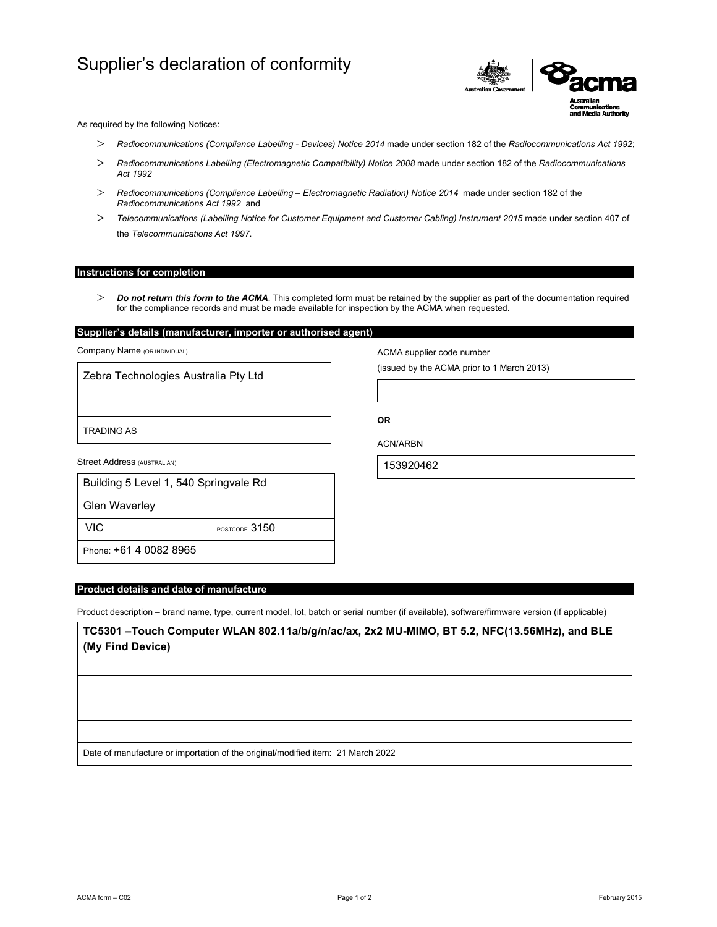# Supplier's declaration of conformity



As required by the following Notices:

- *Radiocommunications (Compliance Labelling Devices) Notice 2014* made under section 182 of the *Radiocommunications Act 1992*;
- *Radiocommunications Labelling (Electromagnetic Compatibility) Notice 2008* made under section 182 of the *Radiocommunications Act 1992*
- *Radiocommunications (Compliance Labelling Electromagnetic Radiation) Notice 2014* made under section 182 of the *Radiocommunications Act 1992* and
- *Telecommunications (Labelling Notice for Customer Equipment and Customer Cabling) Instrument 2015* made under section 407 of the *Telecommunications Act 1997*.

## **Instructions for completion**

 *Do not return this form to the ACMA*. This completed form must be retained by the supplier as part of the documentation required for the compliance records and must be made available for inspection by the ACMA when requested.

# **Supplier's details (manufacturer, importer or authorised agent)**

Company Name (OR INDIVIDUAL)

Zebra Technologies Australia Pty Ltd

TRADING AS

Street Address (AUSTRALIAN)

|  |  | Building 5 Level 1, 540 Springvale Rd |  |
|--|--|---------------------------------------|--|
|  |  |                                       |  |

Glen Waverley

VIC POSTCODE 3150

Phone: +61 4 0082 8965

## **Product details and date of manufacture**

Product description – brand name, type, current model, lot, batch or serial number (if available), software/firmware version (if applicable)

**TC5301 –Touch Computer WLAN 802.11a/b/g/n/ac/ax, 2x2 MU-MIMO, BT 5.2, NFC(13.56MHz), and BLE (My Find Device)**

Date of manufacture or importation of the original/modified item: 21 March 2022

ACMA supplier code number

(issued by the ACMA prior to 1 March 2013)

**OR** 

ACN/ARBN

153920462